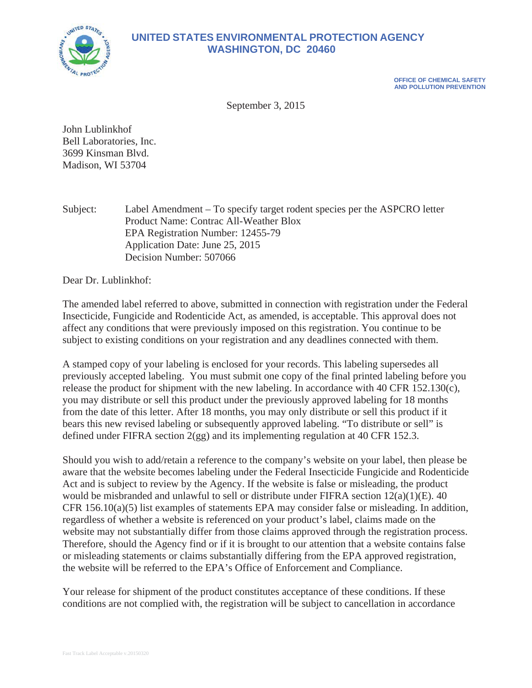

## **UNITED STATES ENVIRONMENTAL PROTECTION AGENCY WASHINGTON, DC 20460**

**OFFICE OF CHEMICAL SAFETY AND POLLUTION PREVENTION** 

September 3, 2015

John Lublinkhof Bell Laboratories, Inc. 3699 Kinsman Blvd. Madison, WI 53704

Subject: Label Amendment – To specify target rodent species per the ASPCRO letter Product Name: Contrac All-Weather Blox EPA Registration Number: 12455-79 Application Date: June 25, 2015 Decision Number: 507066

Dear Dr. Lublinkhof:

The amended label referred to above, submitted in connection with registration under the Federal Insecticide, Fungicide and Rodenticide Act, as amended, is acceptable. This approval does not affect any conditions that were previously imposed on this registration. You continue to be subject to existing conditions on your registration and any deadlines connected with them.

A stamped copy of your labeling is enclosed for your records. This labeling supersedes all previously accepted labeling. You must submit one copy of the final printed labeling before you release the product for shipment with the new labeling. In accordance with 40 CFR 152.130(c), you may distribute or sell this product under the previously approved labeling for 18 months from the date of this letter. After 18 months, you may only distribute or sell this product if it bears this new revised labeling or subsequently approved labeling. "To distribute or sell" is defined under FIFRA section 2(gg) and its implementing regulation at 40 CFR 152.3.

Should you wish to add/retain a reference to the company's website on your label, then please be aware that the website becomes labeling under the Federal Insecticide Fungicide and Rodenticide Act and is subject to review by the Agency. If the website is false or misleading, the product would be misbranded and unlawful to sell or distribute under FIFRA section 12(a)(1)(E). 40 CFR 156.10(a)(5) list examples of statements EPA may consider false or misleading. In addition, regardless of whether a website is referenced on your product's label, claims made on the website may not substantially differ from those claims approved through the registration process. Therefore, should the Agency find or if it is brought to our attention that a website contains false or misleading statements or claims substantially differing from the EPA approved registration, the website will be referred to the EPA's Office of Enforcement and Compliance.

Your release for shipment of the product constitutes acceptance of these conditions. If these conditions are not complied with, the registration will be subject to cancellation in accordance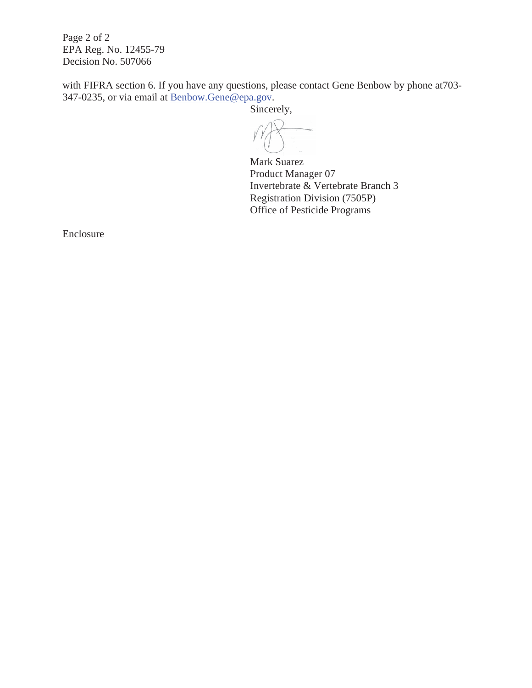Page 2 of 2 EPA Reg. No. 12455-79 Decision No. 507066

with FIFRA section 6. If you have any questions, please contact Gene Benbow by phone at703- 347-0235, or via email at Benbow.Gene@epa.gov.

Sincerely,

Mark Suarez Product Manager 07 Invertebrate & Vertebrate Branch 3 Registration Division (7505P) Office of Pesticide Programs

Enclosure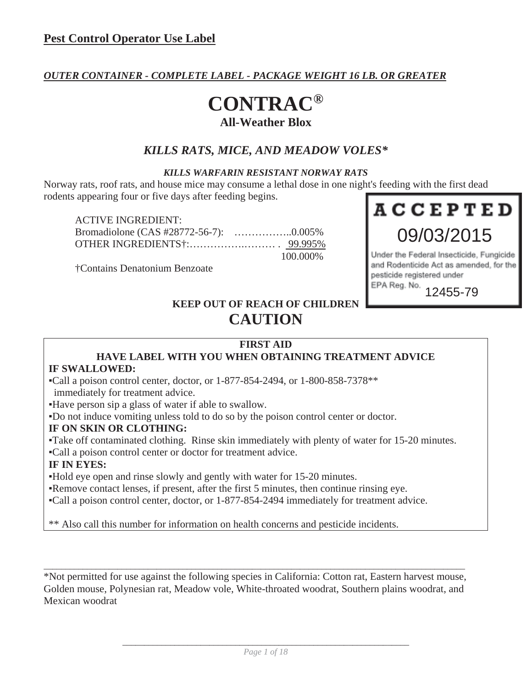#### *OUTER CONTAINER - COMPLETE LABEL - PACKAGE WEIGHT 16 LB. OR GREATER*

## **CONTRAC® All-Weather Blox**

### *KILLS RATS, MICE, AND MEADOW VOLES\**

#### *KILLS WARFARIN RESISTANT NORWAY RATS*

Norway rats, roof rats, and house mice may consume a lethal dose in one night's feeding with the first dead rodents appearing four or five days after feeding begins.

| <b>ACTIVE INGREDIENT:</b> |           |
|---------------------------|-----------|
|                           |           |
|                           |           |
|                           | 100.000\% |

†Contains Denatonium Benzoate



Under the Federal Insecticide, Fungicide and Rodenticide Act as amended, for the pesticide registered under EPA Reg. No.

12455-79

## **KEEP OUT OF REACH OF CHILDREN CAUTION**

#### **FIRST AID**

# **HAVE LABEL WITH YOU WHEN OBTAINING TREATMENT ADVICE**

#### **IF SWALLOWED:**

ƒCall a poison control center, doctor, or 1-877-854-2494, or 1-800-858-7378\*\*

immediately for treatment advice.

ƒHave person sip a glass of water if able to swallow.

ƒDo not induce vomiting unless told to do so by the poison control center or doctor.

#### **IF ON SKIN OR CLOTHING:**

ƒTake off contaminated clothing. Rinse skin immediately with plenty of water for 15-20 minutes.

ƒCall a poison control center or doctor for treatment advice.

#### **IF IN EYES:**

ƒHold eye open and rinse slowly and gently with water for 15-20 minutes.

Remove contact lenses, if present, after the first 5 minutes, then continue rinsing eye.

ƒCall a poison control center, doctor, or 1-877-854-2494 immediately for treatment advice.

\*\* Also call this number for information on health concerns and pesticide incidents.

\*Not permitted for use against the following species in California: Cotton rat, Eastern harvest mouse, Golden mouse, Polynesian rat, Meadow vole, White-throated woodrat, Southern plains woodrat, and Mexican woodrat

 $\_$  , and the set of the set of the set of the set of the set of the set of the set of the set of the set of the set of the set of the set of the set of the set of the set of the set of the set of the set of the set of th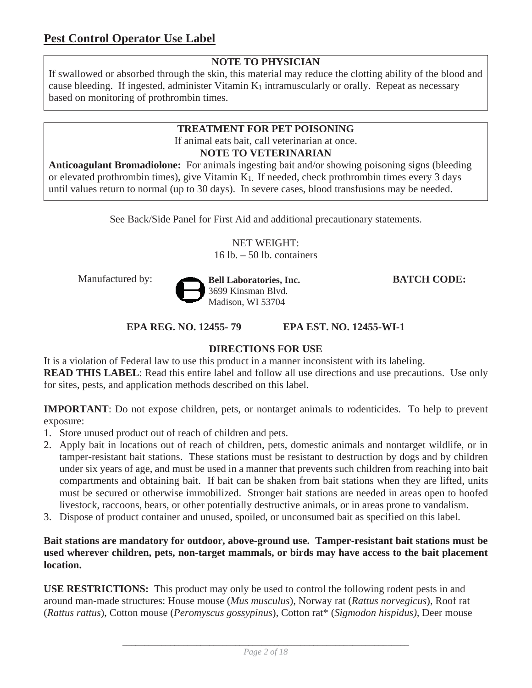### **NOTE TO PHYSICIAN**

If swallowed or absorbed through the skin, this material may reduce the clotting ability of the blood and cause bleeding. If ingested, administer Vitamin K<sub>1</sub> intramuscularly or orally. Repeat as necessary based on monitoring of prothrombin times.

#### **TREATMENT FOR PET POISONING**  If animal eats bait, call veterinarian at once. **NOTE TO VETERINARIAN**

**Anticoagulant Bromadiolone:** For animals ingesting bait and/or showing poisoning signs (bleeding or elevated prothrombin times), give Vitamin K1. If needed, check prothrombin times every 3 days until values return to normal (up to 30 days). In severe cases, blood transfusions may be needed.

See Back/Side Panel for First Aid and additional precautionary statements.

NET WEIGHT:  $16$  lb.  $-50$  lb. containers



**EPA REG. NO. 12455- 79 EPA EST. NO. 12455-WI-1** 

#### **DIRECTIONS FOR USE**

It is a violation of Federal law to use this product in a manner inconsistent with its labeling. **READ THIS LABEL:** Read this entire label and follow all use directions and use precautions. Use only for sites, pests, and application methods described on this label.

**IMPORTANT**: Do not expose children, pets, or nontarget animals to rodenticides. To help to prevent exposure:

- 1. Store unused product out of reach of children and pets.
- 2. Apply bait in locations out of reach of children, pets, domestic animals and nontarget wildlife, or in tamper-resistant bait stations. These stations must be resistant to destruction by dogs and by children under six years of age, and must be used in a manner that prevents such children from reaching into bait compartments and obtaining bait. If bait can be shaken from bait stations when they are lifted, units must be secured or otherwise immobilized. Stronger bait stations are needed in areas open to hoofed livestock, raccoons, bears, or other potentially destructive animals, or in areas prone to vandalism.
- 3. Dispose of product container and unused, spoiled, or unconsumed bait as specified on this label.

**Bait stations are mandatory for outdoor, above-ground use. Tamper-resistant bait stations must be used wherever children, pets, non-target mammals, or birds may have access to the bait placement location.**

**USE RESTRICTIONS:** This product may only be used to control the following rodent pests in and around man-made structures: House mouse (*Mus musculus*), Norway rat (*Rattus norvegicus*), Roof rat (*Rattus rattus*), Cotton mouse (*Peromyscus gossypinus*), Cotton rat\* (*Sigmodon hispidus),* Deer mouse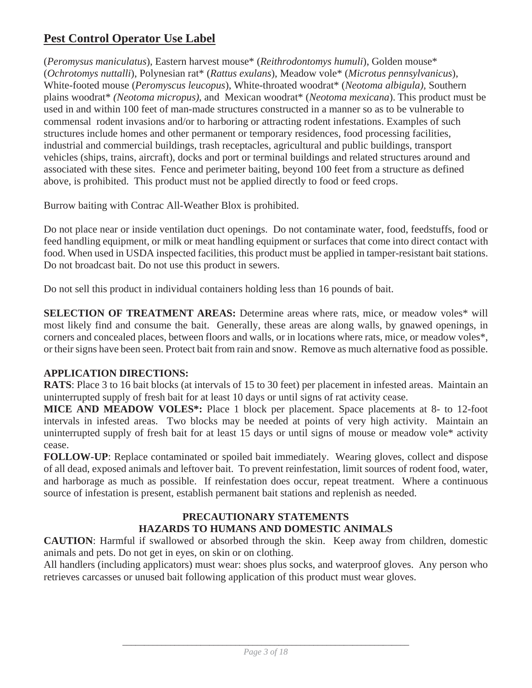## **Pest Control Operator Use Label**

(*Peromysus maniculatus*), Eastern harvest mouse\* (*Reithrodontomys humuli*), Golden mouse\* (*Ochrotomys nuttalli*), Polynesian rat\* (*Rattus exulans*), Meadow vole\* (*Microtus pennsylvanicus*), White-footed mouse (*Peromyscus leucopus*), White-throated woodrat\* (*Neotoma albigula),* Southern plains woodrat\* *(Neotoma micropus)*, and Mexican woodrat\* (*Neotoma mexicana*). This product must be used in and within 100 feet of man-made structures constructed in a manner so as to be vulnerable to commensal rodent invasions and/or to harboring or attracting rodent infestations. Examples of such structures include homes and other permanent or temporary residences, food processing facilities, industrial and commercial buildings, trash receptacles, agricultural and public buildings, transport vehicles (ships, trains, aircraft), docks and port or terminal buildings and related structures around and associated with these sites. Fence and perimeter baiting, beyond 100 feet from a structure as defined above, is prohibited. This product must not be applied directly to food or feed crops.

Burrow baiting with Contrac All-Weather Blox is prohibited.

Do not place near or inside ventilation duct openings. Do not contaminate water, food, feedstuffs, food or feed handling equipment, or milk or meat handling equipment or surfaces that come into direct contact with food. When used in USDA inspected facilities, this product must be applied in tamper-resistant bait stations. Do not broadcast bait. Do not use this product in sewers.

Do not sell this product in individual containers holding less than 16 pounds of bait.

**SELECTION OF TREATMENT AREAS:** Determine areas where rats, mice, or meadow voles\* will most likely find and consume the bait. Generally, these areas are along walls, by gnawed openings, in corners and concealed places, between floors and walls, or in locations where rats, mice, or meadow voles\*, or their signs have been seen. Protect bait from rain and snow. Remove as much alternative food as possible.

#### **APPLICATION DIRECTIONS:**

**RATS**: Place 3 to 16 bait blocks (at intervals of 15 to 30 feet) per placement in infested areas. Maintain an uninterrupted supply of fresh bait for at least 10 days or until signs of rat activity cease.

**MICE AND MEADOW VOLES\*:** Place 1 block per placement. Space placements at 8- to 12-foot intervals in infested areas. Two blocks may be needed at points of very high activity. Maintain an uninterrupted supply of fresh bait for at least 15 days or until signs of mouse or meadow vole\* activity cease.

**FOLLOW-UP**: Replace contaminated or spoiled bait immediately. Wearing gloves, collect and dispose of all dead, exposed animals and leftover bait. To prevent reinfestation, limit sources of rodent food, water, and harborage as much as possible. If reinfestation does occur, repeat treatment. Where a continuous source of infestation is present, establish permanent bait stations and replenish as needed.

#### **PRECAUTIONARY STATEMENTS HAZARDS TO HUMANS AND DOMESTIC ANIMALS**

**CAUTION**: Harmful if swallowed or absorbed through the skin. Keep away from children, domestic animals and pets. Do not get in eyes, on skin or on clothing.

All handlers (including applicators) must wear: shoes plus socks, and waterproof gloves. Any person who retrieves carcasses or unused bait following application of this product must wear gloves.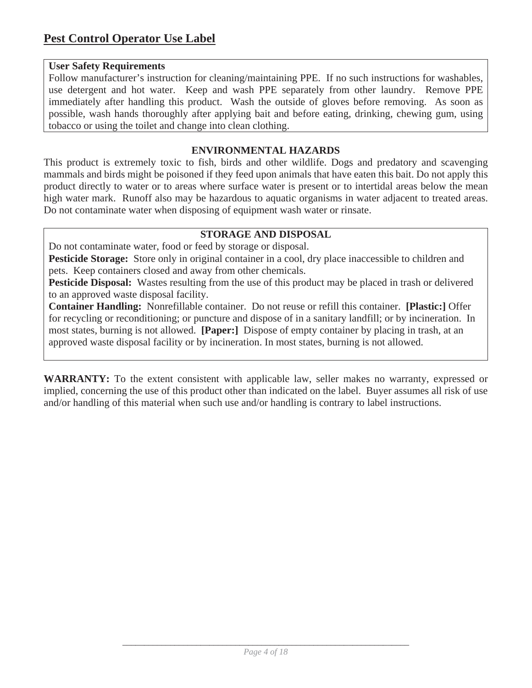#### **User Safety Requirements**

Follow manufacturer's instruction for cleaning/maintaining PPE. If no such instructions for washables, use detergent and hot water. Keep and wash PPE separately from other laundry. Remove PPE immediately after handling this product. Wash the outside of gloves before removing. As soon as possible, wash hands thoroughly after applying bait and before eating, drinking, chewing gum, using tobacco or using the toilet and change into clean clothing.

#### **ENVIRONMENTAL HAZARDS**

This product is extremely toxic to fish, birds and other wildlife. Dogs and predatory and scavenging mammals and birds might be poisoned if they feed upon animals that have eaten this bait. Do not apply this product directly to water or to areas where surface water is present or to intertidal areas below the mean high water mark. Runoff also may be hazardous to aquatic organisms in water adjacent to treated areas. Do not contaminate water when disposing of equipment wash water or rinsate.

#### **STORAGE AND DISPOSAL**

Do not contaminate water, food or feed by storage or disposal.

**Pesticide Storage:** Store only in original container in a cool, dry place inaccessible to children and pets. Keep containers closed and away from other chemicals.

**Pesticide Disposal:** Wastes resulting from the use of this product may be placed in trash or delivered to an approved waste disposal facility.

**Container Handling:** Nonrefillable container. Do not reuse or refill this container. **[Plastic:]** Offer for recycling or reconditioning; or puncture and dispose of in a sanitary landfill; or by incineration. In most states, burning is not allowed. **[Paper:]** Dispose of empty container by placing in trash, at an approved waste disposal facility or by incineration. In most states, burning is not allowed.

**WARRANTY:** To the extent consistent with applicable law, seller makes no warranty, expressed or implied, concerning the use of this product other than indicated on the label. Buyer assumes all risk of use and/or handling of this material when such use and/or handling is contrary to label instructions.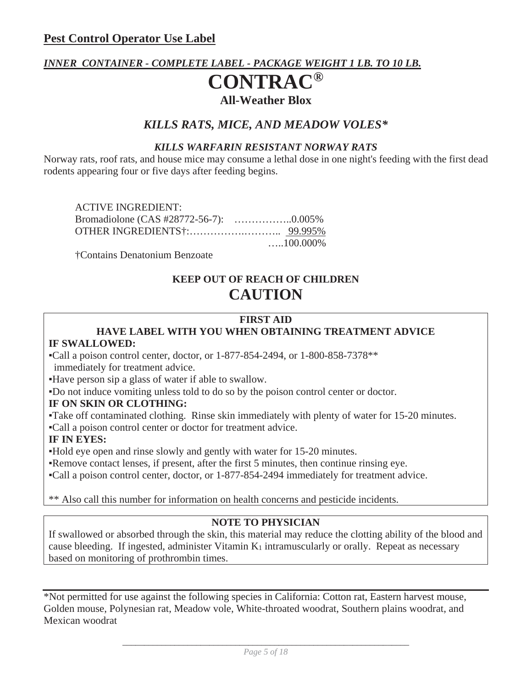### *INNER CONTAINER - COMPLETE LABEL - PACKAGE WEIGHT 1 LB. TO 10 LB.*

## **CONTRAC® All-Weather Blox**

### *KILLS RATS, MICE, AND MEADOW VOLES\**

#### *KILLS WARFARIN RESISTANT NORWAY RATS*

Norway rats, roof rats, and house mice may consume a lethal dose in one night's feeding with the first dead rodents appearing four or five days after feeding begins.

ACTIVE INGREDIENT: Bromadiolone (CAS #28772-56-7): ……………..0.005% OTHER INGREDIENTS†:…………….……….. 99.995% …..100.000%

†Contains Denatonium Benzoate

## **KEEP OUT OF REACH OF CHILDREN CAUTION**

#### **FIRST AID HAVE LABEL WITH YOU WHEN OBTAINING TREATMENT ADVICE**

#### **IF SWALLOWED:**

ƒCall a poison control center, doctor, or 1-877-854-2494, or 1-800-858-7378\*\* immediately for treatment advice.

ƒHave person sip a glass of water if able to swallow.

ƒDo not induce vomiting unless told to do so by the poison control center or doctor.

#### **IF ON SKIN OR CLOTHING:**

ƒTake off contaminated clothing. Rinse skin immediately with plenty of water for 15-20 minutes.

ƒCall a poison control center or doctor for treatment advice.

#### **IF IN EYES:**

ƒHold eye open and rinse slowly and gently with water for 15-20 minutes.

Remove contact lenses, if present, after the first 5 minutes, then continue rinsing eye.

ƒCall a poison control center, doctor, or 1-877-854-2494 immediately for treatment advice.

\*\* Also call this number for information on health concerns and pesticide incidents.

#### **NOTE TO PHYSICIAN**

If swallowed or absorbed through the skin, this material may reduce the clotting ability of the blood and cause bleeding. If ingested, administer Vitamin  $K_1$  intramuscularly or orally. Repeat as necessary based on monitoring of prothrombin times.

\*Not permitted for use against the following species in California: Cotton rat, Eastern harvest mouse, Golden mouse, Polynesian rat, Meadow vole, White-throated woodrat, Southern plains woodrat, and Mexican woodrat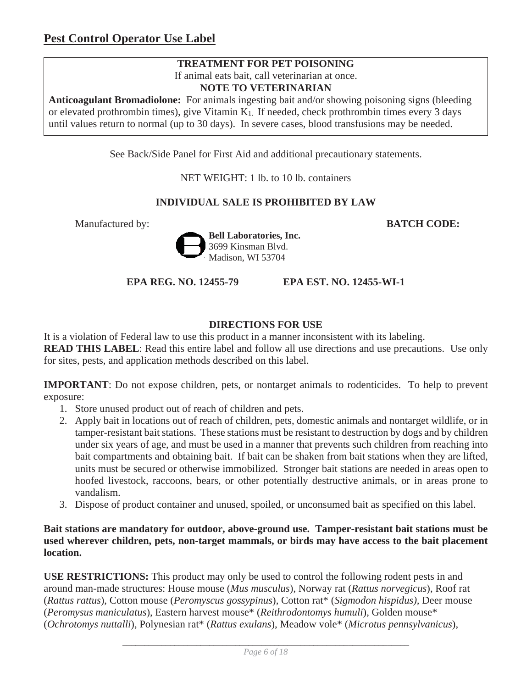#### **TREATMENT FOR PET POISONING**

If animal eats bait, call veterinarian at once.

**NOTE TO VETERINARIAN** 

**Anticoagulant Bromadiolone:** For animals ingesting bait and/or showing poisoning signs (bleeding or elevated prothrombin times), give Vitamin K1. If needed, check prothrombin times every 3 days until values return to normal (up to 30 days). In severe cases, blood transfusions may be needed.

See Back/Side Panel for First Aid and additional precautionary statements.

NET WEIGHT: 1 lb. to 10 lb. containers

#### **INDIVIDUAL SALE IS PROHIBITED BY LAW**

Manufactured by: **BATCH CODE:**



**EPA REG. NO. 12455-79 EPA EST. NO. 12455-WI-1** 

#### **DIRECTIONS FOR USE**

It is a violation of Federal law to use this product in a manner inconsistent with its labeling. **READ THIS LABEL**: Read this entire label and follow all use directions and use precautions. Use only for sites, pests, and application methods described on this label.

**IMPORTANT**: Do not expose children, pets, or nontarget animals to rodenticides. To help to prevent exposure:

- 1. Store unused product out of reach of children and pets.
- 2. Apply bait in locations out of reach of children, pets, domestic animals and nontarget wildlife, or in tamper-resistant bait stations. These stations must be resistant to destruction by dogs and by children under six years of age, and must be used in a manner that prevents such children from reaching into bait compartments and obtaining bait. If bait can be shaken from bait stations when they are lifted, units must be secured or otherwise immobilized. Stronger bait stations are needed in areas open to hoofed livestock, raccoons, bears, or other potentially destructive animals, or in areas prone to vandalism.
- 3. Dispose of product container and unused, spoiled, or unconsumed bait as specified on this label.

**Bait stations are mandatory for outdoor, above-ground use. Tamper-resistant bait stations must be used wherever children, pets, non-target mammals, or birds may have access to the bait placement location.**

**USE RESTRICTIONS:** This product may only be used to control the following rodent pests in and around man-made structures: House mouse (*Mus musculus*), Norway rat (*Rattus norvegicus*), Roof rat (*Rattus rattus*), Cotton mouse (*Peromyscus gossypinus*), Cotton rat\* (*Sigmodon hispidus),* Deer mouse (*Peromysus maniculatus*), Eastern harvest mouse\* (*Reithrodontomys humuli*), Golden mouse\* (*Ochrotomys nuttalli*), Polynesian rat\* (*Rattus exulans*), Meadow vole\* (*Microtus pennsylvanicus*),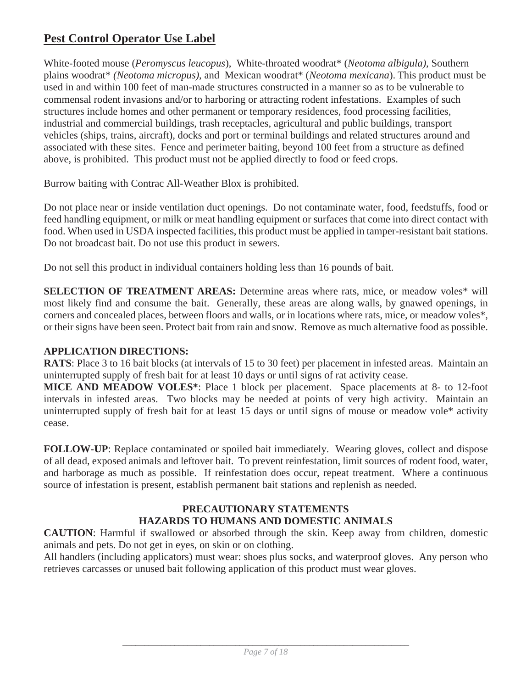## **Pest Control Operator Use Label**

White-footed mouse (*Peromyscus leucopus*), White-throated woodrat\* (*Neotoma albigula),* Southern plains woodrat\* *(Neotoma micropus)*, and Mexican woodrat\* (*Neotoma mexicana*). This product must be used in and within 100 feet of man-made structures constructed in a manner so as to be vulnerable to commensal rodent invasions and/or to harboring or attracting rodent infestations. Examples of such structures include homes and other permanent or temporary residences, food processing facilities, industrial and commercial buildings, trash receptacles, agricultural and public buildings, transport vehicles (ships, trains, aircraft), docks and port or terminal buildings and related structures around and associated with these sites. Fence and perimeter baiting, beyond 100 feet from a structure as defined above, is prohibited. This product must not be applied directly to food or feed crops.

Burrow baiting with Contrac All-Weather Blox is prohibited.

Do not place near or inside ventilation duct openings. Do not contaminate water, food, feedstuffs, food or feed handling equipment, or milk or meat handling equipment or surfaces that come into direct contact with food. When used in USDA inspected facilities, this product must be applied in tamper-resistant bait stations. Do not broadcast bait. Do not use this product in sewers.

Do not sell this product in individual containers holding less than 16 pounds of bait.

**SELECTION OF TREATMENT AREAS:** Determine areas where rats, mice, or meadow voles\* will most likely find and consume the bait. Generally, these areas are along walls, by gnawed openings, in corners and concealed places, between floors and walls, or in locations where rats, mice, or meadow voles\*, or their signs have been seen. Protect bait from rain and snow. Remove as much alternative food as possible.

#### **APPLICATION DIRECTIONS:**

**RATS**: Place 3 to 16 bait blocks (at intervals of 15 to 30 feet) per placement in infested areas. Maintain an uninterrupted supply of fresh bait for at least 10 days or until signs of rat activity cease.

**MICE AND MEADOW VOLES\***: Place 1 block per placement. Space placements at 8- to 12-foot intervals in infested areas. Two blocks may be needed at points of very high activity. Maintain an uninterrupted supply of fresh bait for at least 15 days or until signs of mouse or meadow vole\* activity cease.

**FOLLOW-UP**: Replace contaminated or spoiled bait immediately. Wearing gloves, collect and dispose of all dead, exposed animals and leftover bait. To prevent reinfestation, limit sources of rodent food, water, and harborage as much as possible. If reinfestation does occur, repeat treatment. Where a continuous source of infestation is present, establish permanent bait stations and replenish as needed.

#### **PRECAUTIONARY STATEMENTS HAZARDS TO HUMANS AND DOMESTIC ANIMALS**

**CAUTION**: Harmful if swallowed or absorbed through the skin. Keep away from children, domestic animals and pets. Do not get in eyes, on skin or on clothing.

All handlers (including applicators) must wear: shoes plus socks, and waterproof gloves. Any person who retrieves carcasses or unused bait following application of this product must wear gloves.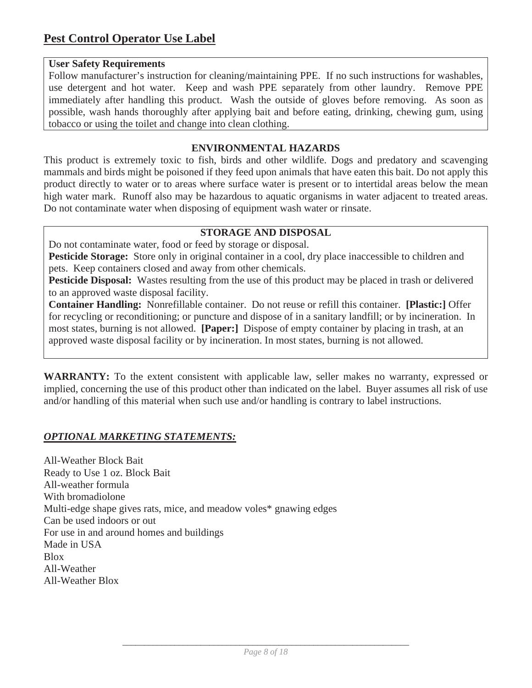#### **User Safety Requirements**

Follow manufacturer's instruction for cleaning/maintaining PPE. If no such instructions for washables, use detergent and hot water. Keep and wash PPE separately from other laundry. Remove PPE immediately after handling this product. Wash the outside of gloves before removing. As soon as possible, wash hands thoroughly after applying bait and before eating, drinking, chewing gum, using tobacco or using the toilet and change into clean clothing.

#### **ENVIRONMENTAL HAZARDS**

This product is extremely toxic to fish, birds and other wildlife. Dogs and predatory and scavenging mammals and birds might be poisoned if they feed upon animals that have eaten this bait. Do not apply this product directly to water or to areas where surface water is present or to intertidal areas below the mean high water mark. Runoff also may be hazardous to aquatic organisms in water adjacent to treated areas. Do not contaminate water when disposing of equipment wash water or rinsate.

#### **STORAGE AND DISPOSAL**

Do not contaminate water, food or feed by storage or disposal.

**Pesticide Storage:** Store only in original container in a cool, dry place inaccessible to children and pets. Keep containers closed and away from other chemicals.

**Pesticide Disposal:** Wastes resulting from the use of this product may be placed in trash or delivered to an approved waste disposal facility.

**Container Handling:** Nonrefillable container. Do not reuse or refill this container. **[Plastic:]** Offer for recycling or reconditioning; or puncture and dispose of in a sanitary landfill; or by incineration. In most states, burning is not allowed. **[Paper:]** Dispose of empty container by placing in trash, at an approved waste disposal facility or by incineration. In most states, burning is not allowed.

**WARRANTY:** To the extent consistent with applicable law, seller makes no warranty, expressed or implied, concerning the use of this product other than indicated on the label. Buyer assumes all risk of use and/or handling of this material when such use and/or handling is contrary to label instructions.

#### *OPTIONAL MARKETING STATEMENTS:*

All-Weather Block Bait Ready to Use 1 oz. Block Bait All-weather formula With bromadiolone Multi-edge shape gives rats, mice, and meadow voles\* gnawing edges Can be used indoors or out For use in and around homes and buildings Made in USA Blox All-Weather All-Weather Blox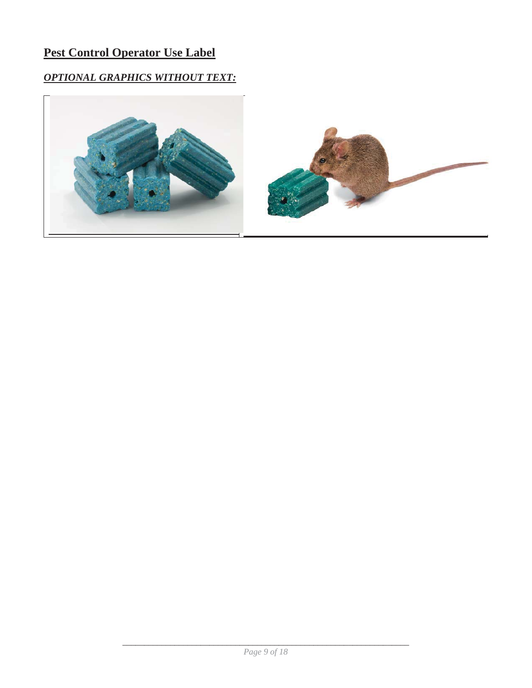## **Pest Control Operator Use Label**

## *OPTIONAL GRAPHICS WITHOUT TEXT:*



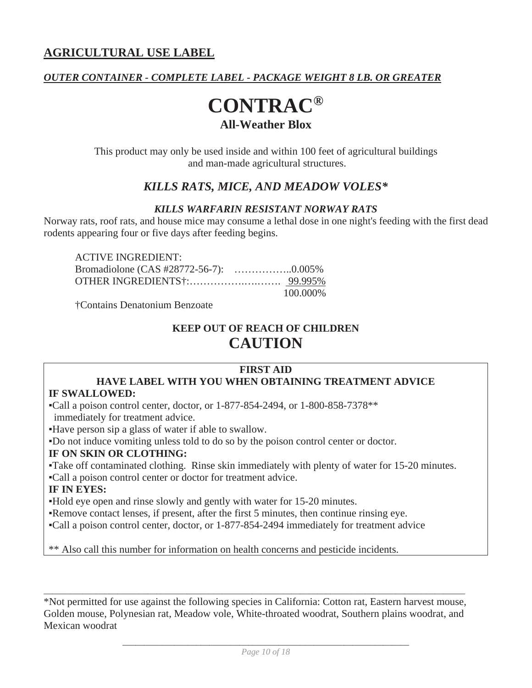#### *OUTER CONTAINER - COMPLETE LABEL - PACKAGE WEIGHT 8 LB. OR GREATER*

## **CONTRAC® All-Weather Blox**

This product may only be used inside and within 100 feet of agricultural buildings and man-made agricultural structures.

### *KILLS RATS, MICE, AND MEADOW VOLES\**

#### *KILLS WARFARIN RESISTANT NORWAY RATS*

Norway rats, roof rats, and house mice may consume a lethal dose in one night's feeding with the first dead rodents appearing four or five days after feeding begins.

| <b>ACTIVE INGREDIENT:</b> |          |
|---------------------------|----------|
|                           |          |
|                           |          |
|                           | 100.000% |

†Contains Denatonium Benzoate

## **KEEP OUT OF REACH OF CHILDREN CAUTION**

#### **FIRST AID**

#### **HAVE LABEL WITH YOU WHEN OBTAINING TREATMENT ADVICE IF SWALLOWED:**

ƒCall a poison control center, doctor, or 1-877-854-2494, or 1-800-858-7378\*\*

immediately for treatment advice.

ƒHave person sip a glass of water if able to swallow.

ƒDo not induce vomiting unless told to do so by the poison control center or doctor.

#### **IF ON SKIN OR CLOTHING:**

ƒTake off contaminated clothing. Rinse skin immediately with plenty of water for 15-20 minutes.

ƒCall a poison control center or doctor for treatment advice.

#### **IF IN EYES:**

ƒHold eye open and rinse slowly and gently with water for 15-20 minutes.

Remove contact lenses, if present, after the first 5 minutes, then continue rinsing eye.

ƒCall a poison control center, doctor, or 1-877-854-2494 immediately for treatment advice

\*\* Also call this number for information on health concerns and pesticide incidents.

\*Not permitted for use against the following species in California: Cotton rat, Eastern harvest mouse, Golden mouse, Polynesian rat, Meadow vole, White-throated woodrat, Southern plains woodrat, and Mexican woodrat

 $\_$  , and the set of the set of the set of the set of the set of the set of the set of the set of the set of the set of the set of the set of the set of the set of the set of the set of the set of the set of the set of th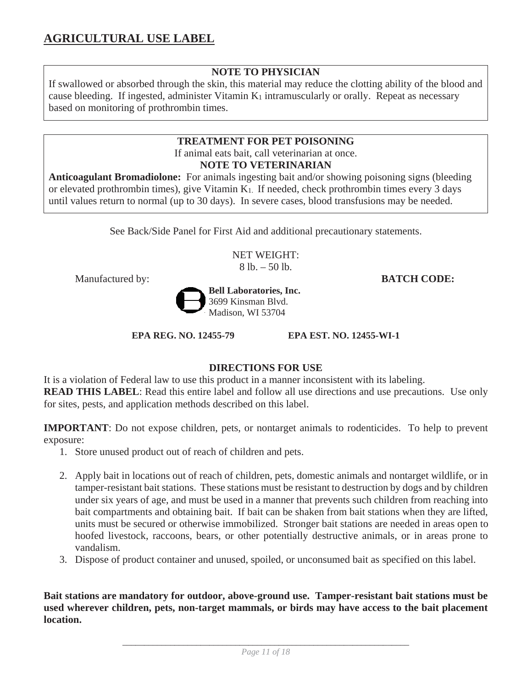#### **NOTE TO PHYSICIAN**

If swallowed or absorbed through the skin, this material may reduce the clotting ability of the blood and cause bleeding. If ingested, administer Vitamin  $K_1$  intramuscularly or orally. Repeat as necessary based on monitoring of prothrombin times.

#### **TREATMENT FOR PET POISONING**

If animal eats bait, call veterinarian at once.

#### **NOTE TO VETERINARIAN**

**Anticoagulant Bromadiolone:** For animals ingesting bait and/or showing poisoning signs (bleeding or elevated prothrombin times), give Vitamin K1. If needed, check prothrombin times every 3 days until values return to normal (up to 30 days). In severe cases, blood transfusions may be needed.

See Back/Side Panel for First Aid and additional precautionary statements.

NET WEIGHT:  $8$  lb.  $-50$  lb.



**EPA REG. NO. 12455-79 EPA EST. NO. 12455-WI-1** 

#### **DIRECTIONS FOR USE**

It is a violation of Federal law to use this product in a manner inconsistent with its labeling. **READ THIS LABEL:** Read this entire label and follow all use directions and use precautions. Use only for sites, pests, and application methods described on this label.

**IMPORTANT**: Do not expose children, pets, or nontarget animals to rodenticides. To help to prevent exposure:

- 1. Store unused product out of reach of children and pets.
- 2. Apply bait in locations out of reach of children, pets, domestic animals and nontarget wildlife, or in tamper-resistant bait stations. These stations must be resistant to destruction by dogs and by children under six years of age, and must be used in a manner that prevents such children from reaching into bait compartments and obtaining bait. If bait can be shaken from bait stations when they are lifted, units must be secured or otherwise immobilized. Stronger bait stations are needed in areas open to hoofed livestock, raccoons, bears, or other potentially destructive animals, or in areas prone to vandalism.
- 3. Dispose of product container and unused, spoiled, or unconsumed bait as specified on this label.

**Bait stations are mandatory for outdoor, above-ground use. Tamper-resistant bait stations must be used wherever children, pets, non-target mammals, or birds may have access to the bait placement location.**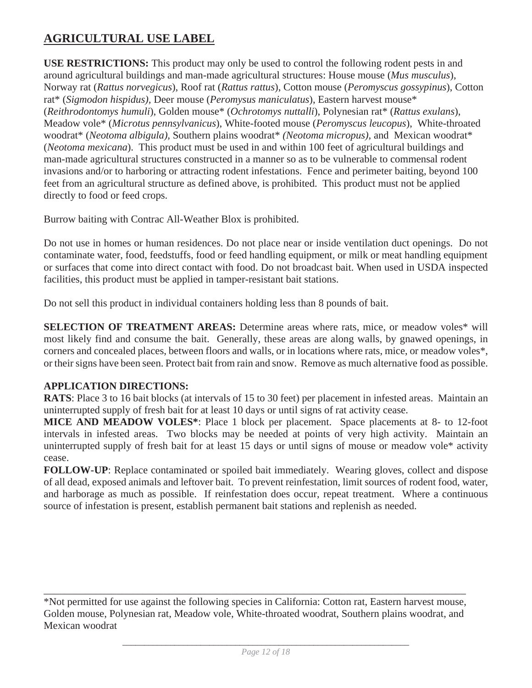**USE RESTRICTIONS:** This product may only be used to control the following rodent pests in and around agricultural buildings and man-made agricultural structures: House mouse (*Mus musculus*), Norway rat (*Rattus norvegicus*), Roof rat (*Rattus rattus*), Cotton mouse (*Peromyscus gossypinus*), Cotton rat\* (*Sigmodon hispidus),* Deer mouse (*Peromysus maniculatus*), Eastern harvest mouse\* (*Reithrodontomys humuli*), Golden mouse\* (*Ochrotomys nuttalli*), Polynesian rat\* (*Rattus exulans*), Meadow vole\* (*Microtus pennsylvanicus*), White-footed mouse (*Peromyscus leucopus*), White-throated woodrat\* (*Neotoma albigula),* Southern plains woodrat\* *(Neotoma micropus)*, and Mexican woodrat\* (*Neotoma mexicana*). This product must be used in and within 100 feet of agricultural buildings and man-made agricultural structures constructed in a manner so as to be vulnerable to commensal rodent invasions and/or to harboring or attracting rodent infestations. Fence and perimeter baiting, beyond 100 feet from an agricultural structure as defined above, is prohibited. This product must not be applied directly to food or feed crops.

Burrow baiting with Contrac All-Weather Blox is prohibited.

Do not use in homes or human residences. Do not place near or inside ventilation duct openings. Do not contaminate water, food, feedstuffs, food or feed handling equipment, or milk or meat handling equipment or surfaces that come into direct contact with food. Do not broadcast bait. When used in USDA inspected facilities, this product must be applied in tamper-resistant bait stations.

Do not sell this product in individual containers holding less than 8 pounds of bait.

**SELECTION OF TREATMENT AREAS:** Determine areas where rats, mice, or meadow voles\* will most likely find and consume the bait. Generally, these areas are along walls, by gnawed openings, in corners and concealed places, between floors and walls, or in locations where rats, mice, or meadow voles\*, or their signs have been seen. Protect bait from rain and snow. Remove as much alternative food as possible.

#### **APPLICATION DIRECTIONS:**

**RATS**: Place 3 to 16 bait blocks (at intervals of 15 to 30 feet) per placement in infested areas. Maintain an uninterrupted supply of fresh bait for at least 10 days or until signs of rat activity cease.

**MICE AND MEADOW VOLES\***: Place 1 block per placement. Space placements at 8- to 12-foot intervals in infested areas. Two blocks may be needed at points of very high activity. Maintain an uninterrupted supply of fresh bait for at least 15 days or until signs of mouse or meadow vole\* activity cease.

**FOLLOW-UP**: Replace contaminated or spoiled bait immediately. Wearing gloves, collect and dispose of all dead, exposed animals and leftover bait. To prevent reinfestation, limit sources of rodent food, water, and harborage as much as possible. If reinfestation does occur, repeat treatment. Where a continuous source of infestation is present, establish permanent bait stations and replenish as needed.

\_\_\_\_\_\_\_\_\_\_\_\_\_\_\_\_\_\_\_\_\_\_\_\_\_\_\_\_\_\_\_\_\_\_\_\_\_\_\_\_\_\_\_\_\_\_\_\_\_\_\_\_\_\_\_\_\_\_\_\_\_\_\_\_\_\_\_\_\_\_\_\_\_\_\_\_\_\_\_\_\_

<sup>\*</sup>Not permitted for use against the following species in California: Cotton rat, Eastern harvest mouse, Golden mouse, Polynesian rat, Meadow vole, White-throated woodrat, Southern plains woodrat, and Mexican woodrat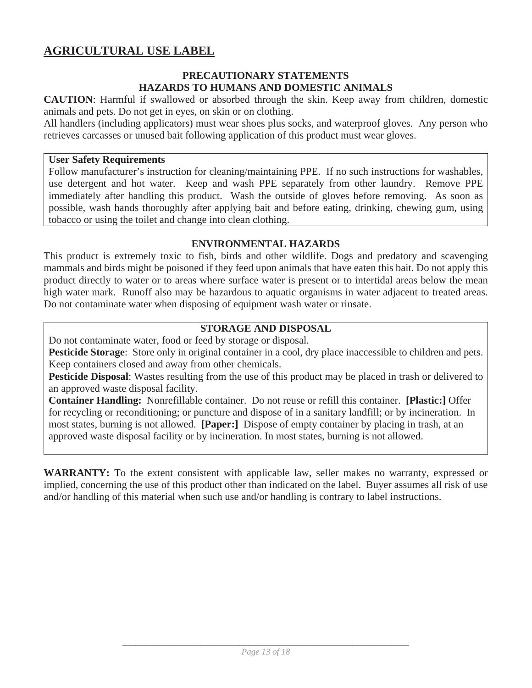#### **PRECAUTIONARY STATEMENTS HAZARDS TO HUMANS AND DOMESTIC ANIMALS**

**CAUTION**: Harmful if swallowed or absorbed through the skin. Keep away from children, domestic animals and pets. Do not get in eyes, on skin or on clothing.

All handlers (including applicators) must wear shoes plus socks, and waterproof gloves. Any person who retrieves carcasses or unused bait following application of this product must wear gloves.

#### **User Safety Requirements**

Follow manufacturer's instruction for cleaning/maintaining PPE. If no such instructions for washables, use detergent and hot water. Keep and wash PPE separately from other laundry. Remove PPE immediately after handling this product. Wash the outside of gloves before removing. As soon as possible, wash hands thoroughly after applying bait and before eating, drinking, chewing gum, using tobacco or using the toilet and change into clean clothing.

#### **ENVIRONMENTAL HAZARDS**

This product is extremely toxic to fish, birds and other wildlife. Dogs and predatory and scavenging mammals and birds might be poisoned if they feed upon animals that have eaten this bait. Do not apply this product directly to water or to areas where surface water is present or to intertidal areas below the mean high water mark. Runoff also may be hazardous to aquatic organisms in water adjacent to treated areas. Do not contaminate water when disposing of equipment wash water or rinsate.

#### **STORAGE AND DISPOSAL**

Do not contaminate water, food or feed by storage or disposal.

**Pesticide Storage**: Store only in original container in a cool, dry place inaccessible to children and pets. Keep containers closed and away from other chemicals.

**Pesticide Disposal**: Wastes resulting from the use of this product may be placed in trash or delivered to an approved waste disposal facility.

**Container Handling:** Nonrefillable container. Do not reuse or refill this container. **[Plastic:]** Offer for recycling or reconditioning; or puncture and dispose of in a sanitary landfill; or by incineration. In most states, burning is not allowed. **[Paper:]** Dispose of empty container by placing in trash, at an approved waste disposal facility or by incineration. In most states, burning is not allowed.

**WARRANTY:** To the extent consistent with applicable law, seller makes no warranty, expressed or implied, concerning the use of this product other than indicated on the label. Buyer assumes all risk of use and/or handling of this material when such use and/or handling is contrary to label instructions.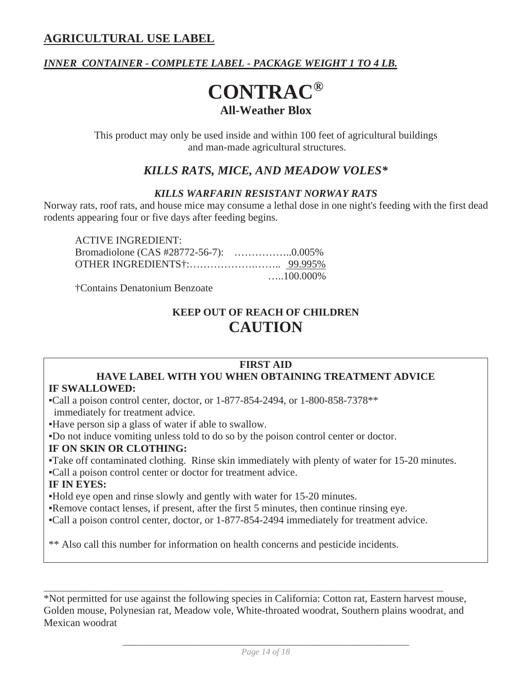### *INNER CONTAINER - COMPLETE LABEL - PACKAGE WEIGHT 1 TO 4 LB.*

## **CONTRAC® All-Weather Blox**

This product may only be used inside and within 100 feet of agricultural buildings and man-made agricultural structures.

### *KILLS RATS, MICE, AND MEADOW VOLES\**

#### *KILLS WARFARIN RESISTANT NORWAY RATS*

Norway rats, roof rats, and house mice may consume a lethal dose in one night's feeding with the first dead rodents appearing four or five days after feeding begins.

| <b>ACTIVE INGREDIENT:</b> |                   |
|---------------------------|-------------------|
|                           |                   |
|                           |                   |
|                           | $\dots 100.000\%$ |

†Contains Denatonium Benzoate

## **KEEP OUT OF REACH OF CHILDREN CAUTION**

#### **FIRST AID**

## **HAVE LABEL WITH YOU WHEN OBTAINING TREATMENT ADVICE**

#### **IF SWALLOWED:**

ƒCall a poison control center, doctor, or 1-877-854-2494, or 1-800-858-7378\*\* immediately for treatment advice.

Have person sip a glass of water if able to swallow.

ƒDo not induce vomiting unless told to do so by the poison control center or doctor.

#### **IF ON SKIN OR CLOTHING:**

ƒTake off contaminated clothing. Rinse skin immediately with plenty of water for 15-20 minutes.

ƒCall a poison control center or doctor for treatment advice.

#### **IF IN EYES:**

ƒHold eye open and rinse slowly and gently with water for 15-20 minutes.

Remove contact lenses, if present, after the first 5 minutes, then continue rinsing eye.

ƒCall a poison control center, doctor, or 1-877-854-2494 immediately for treatment advice.

\*\* Also call this number for information on health concerns and pesticide incidents.

\*Not permitted for use against the following species in California: Cotton rat, Eastern harvest mouse, Golden mouse, Polynesian rat, Meadow vole, White-throated woodrat, Southern plains woodrat, and Mexican woodrat

 $\_$  ,  $\_$  ,  $\_$  ,  $\_$  ,  $\_$  ,  $\_$  ,  $\_$  ,  $\_$  ,  $\_$  ,  $\_$  ,  $\_$  ,  $\_$  ,  $\_$  ,  $\_$  ,  $\_$  ,  $\_$  ,  $\_$  ,  $\_$  ,  $\_$  ,  $\_$  ,  $\_$  ,  $\_$  ,  $\_$  ,  $\_$  ,  $\_$  ,  $\_$  ,  $\_$  ,  $\_$  ,  $\_$  ,  $\_$  ,  $\_$  ,  $\_$  ,  $\_$  ,  $\_$  ,  $\_$  ,  $\_$  ,  $\_$  ,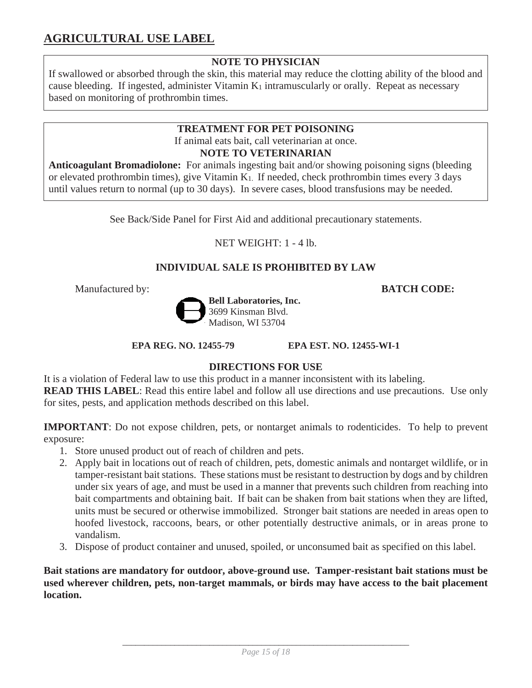#### **NOTE TO PHYSICIAN**

If swallowed or absorbed through the skin, this material may reduce the clotting ability of the blood and cause bleeding. If ingested, administer Vitamin K<sub>1</sub> intramuscularly or orally. Repeat as necessary based on monitoring of prothrombin times.

### **TREATMENT FOR PET POISONING**  If animal eats bait, call veterinarian at once.

**NOTE TO VETERINARIAN** 

**Anticoagulant Bromadiolone:** For animals ingesting bait and/or showing poisoning signs (bleeding or elevated prothrombin times), give Vitamin K1. If needed, check prothrombin times every 3 days until values return to normal (up to 30 days). In severe cases, blood transfusions may be needed.

See Back/Side Panel for First Aid and additional precautionary statements.

NET WEIGHT: 1 - 4 lb.

#### **INDIVIDUAL SALE IS PROHIBITED BY LAW**

Manufactured by: **BATCH CODE:**



**EPA REG. NO. 12455-79 EPA EST. NO. 12455-WI-1** 

#### **DIRECTIONS FOR USE**

It is a violation of Federal law to use this product in a manner inconsistent with its labeling. **READ THIS LABEL**: Read this entire label and follow all use directions and use precautions. Use only for sites, pests, and application methods described on this label.

**IMPORTANT**: Do not expose children, pets, or nontarget animals to rodenticides. To help to prevent exposure:

- 1. Store unused product out of reach of children and pets.
- 2. Apply bait in locations out of reach of children, pets, domestic animals and nontarget wildlife, or in tamper-resistant bait stations. These stations must be resistant to destruction by dogs and by children under six years of age, and must be used in a manner that prevents such children from reaching into bait compartments and obtaining bait. If bait can be shaken from bait stations when they are lifted, units must be secured or otherwise immobilized. Stronger bait stations are needed in areas open to hoofed livestock, raccoons, bears, or other potentially destructive animals, or in areas prone to vandalism.
- 3. Dispose of product container and unused, spoiled, or unconsumed bait as specified on this label.

**Bait stations are mandatory for outdoor, above-ground use. Tamper-resistant bait stations must be used wherever children, pets, non-target mammals, or birds may have access to the bait placement location.**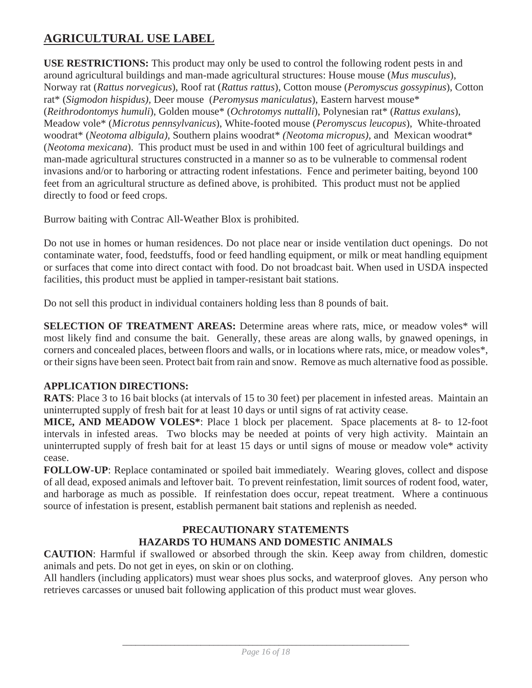**USE RESTRICTIONS:** This product may only be used to control the following rodent pests in and around agricultural buildings and man-made agricultural structures: House mouse (*Mus musculus*), Norway rat (*Rattus norvegicus*), Roof rat (*Rattus rattus*), Cotton mouse (*Peromyscus gossypinus*), Cotton rat\* (*Sigmodon hispidus),* Deer mouse (*Peromysus maniculatus*), Eastern harvest mouse\* (*Reithrodontomys humuli*), Golden mouse\* (*Ochrotomys nuttalli*), Polynesian rat\* (*Rattus exulans*), Meadow vole\* (*Microtus pennsylvanicus*), White-footed mouse (*Peromyscus leucopus*), White-throated woodrat\* (*Neotoma albigula),* Southern plains woodrat\* *(Neotoma micropus)*, and Mexican woodrat\* (*Neotoma mexicana*). This product must be used in and within 100 feet of agricultural buildings and man-made agricultural structures constructed in a manner so as to be vulnerable to commensal rodent invasions and/or to harboring or attracting rodent infestations. Fence and perimeter baiting, beyond 100 feet from an agricultural structure as defined above, is prohibited. This product must not be applied directly to food or feed crops.

Burrow baiting with Contrac All-Weather Blox is prohibited.

Do not use in homes or human residences. Do not place near or inside ventilation duct openings. Do not contaminate water, food, feedstuffs, food or feed handling equipment, or milk or meat handling equipment or surfaces that come into direct contact with food. Do not broadcast bait. When used in USDA inspected facilities, this product must be applied in tamper-resistant bait stations.

Do not sell this product in individual containers holding less than 8 pounds of bait.

**SELECTION OF TREATMENT AREAS:** Determine areas where rats, mice, or meadow voles\* will most likely find and consume the bait. Generally, these areas are along walls, by gnawed openings, in corners and concealed places, between floors and walls, or in locations where rats, mice, or meadow voles\*, or their signs have been seen. Protect bait from rain and snow. Remove as much alternative food as possible.

#### **APPLICATION DIRECTIONS:**

**RATS**: Place 3 to 16 bait blocks (at intervals of 15 to 30 feet) per placement in infested areas. Maintain an uninterrupted supply of fresh bait for at least 10 days or until signs of rat activity cease.

**MICE, AND MEADOW VOLES\***: Place 1 block per placement. Space placements at 8- to 12-foot intervals in infested areas. Two blocks may be needed at points of very high activity. Maintain an uninterrupted supply of fresh bait for at least 15 days or until signs of mouse or meadow vole\* activity cease.

**FOLLOW-UP**: Replace contaminated or spoiled bait immediately. Wearing gloves, collect and dispose of all dead, exposed animals and leftover bait. To prevent reinfestation, limit sources of rodent food, water, and harborage as much as possible. If reinfestation does occur, repeat treatment. Where a continuous source of infestation is present, establish permanent bait stations and replenish as needed.

#### **PRECAUTIONARY STATEMENTS HAZARDS TO HUMANS AND DOMESTIC ANIMALS**

**CAUTION**: Harmful if swallowed or absorbed through the skin. Keep away from children, domestic animals and pets. Do not get in eyes, on skin or on clothing.

All handlers (including applicators) must wear shoes plus socks, and waterproof gloves. Any person who retrieves carcasses or unused bait following application of this product must wear gloves.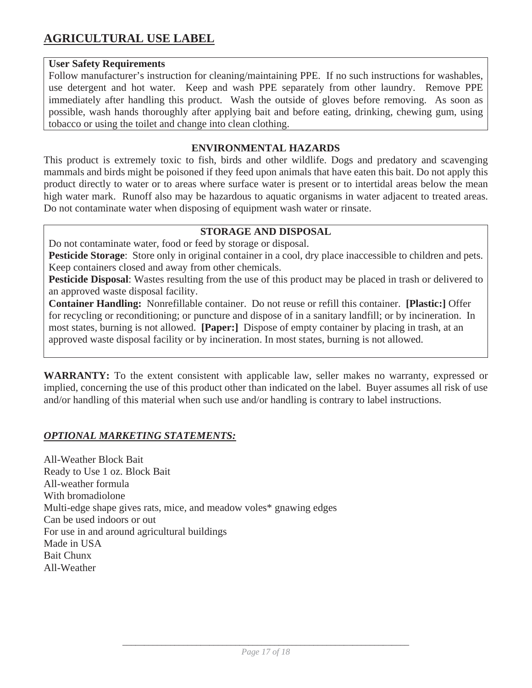#### **User Safety Requirements**

Follow manufacturer's instruction for cleaning/maintaining PPE. If no such instructions for washables, use detergent and hot water. Keep and wash PPE separately from other laundry. Remove PPE immediately after handling this product. Wash the outside of gloves before removing. As soon as possible, wash hands thoroughly after applying bait and before eating, drinking, chewing gum, using tobacco or using the toilet and change into clean clothing.

#### **ENVIRONMENTAL HAZARDS**

This product is extremely toxic to fish, birds and other wildlife. Dogs and predatory and scavenging mammals and birds might be poisoned if they feed upon animals that have eaten this bait. Do not apply this product directly to water or to areas where surface water is present or to intertidal areas below the mean high water mark. Runoff also may be hazardous to aquatic organisms in water adjacent to treated areas. Do not contaminate water when disposing of equipment wash water or rinsate.

#### **STORAGE AND DISPOSAL**

Do not contaminate water, food or feed by storage or disposal.

**Pesticide Storage**: Store only in original container in a cool, dry place inaccessible to children and pets. Keep containers closed and away from other chemicals.

**Pesticide Disposal**: Wastes resulting from the use of this product may be placed in trash or delivered to an approved waste disposal facility.

**Container Handling:** Nonrefillable container. Do not reuse or refill this container. **[Plastic:]** Offer for recycling or reconditioning; or puncture and dispose of in a sanitary landfill; or by incineration. In most states, burning is not allowed. **[Paper:]** Dispose of empty container by placing in trash, at an approved waste disposal facility or by incineration. In most states, burning is not allowed.

**WARRANTY:** To the extent consistent with applicable law, seller makes no warranty, expressed or implied, concerning the use of this product other than indicated on the label. Buyer assumes all risk of use and/or handling of this material when such use and/or handling is contrary to label instructions.

#### *OPTIONAL MARKETING STATEMENTS:*

All-Weather Block Bait Ready to Use 1 oz. Block Bait All-weather formula With bromadiolone Multi-edge shape gives rats, mice, and meadow voles\* gnawing edges Can be used indoors or out For use in and around agricultural buildings Made in USA Bait Chunx All-Weather